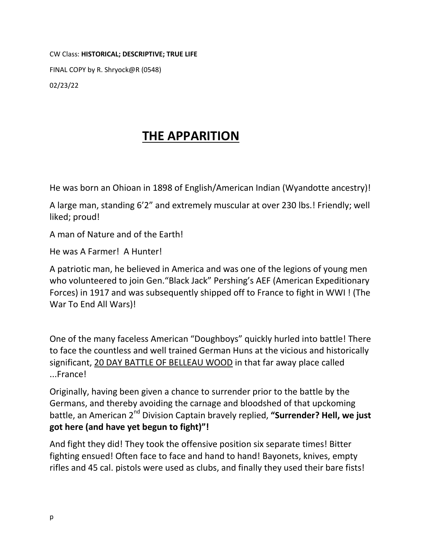CW Class: **HISTORICAL; DESCRIPTIVE; TRUE LIFE**

FINAL COPY by R. Shryock@R (0548)

02/23/22

## **THE APPARITION**

He was born an Ohioan in 1898 of English/American Indian (Wyandotte ancestry)!

A large man, standing 6'2" and extremely muscular at over 230 lbs.! Friendly; well liked; proud!

A man of Nature and of the Earth!

He was A Farmer! A Hunter!

A patriotic man, he believed in America and was one of the legions of young men who volunteered to join Gen."Black Jack" Pershing's AEF (American Expeditionary Forces) in 1917 and was subsequently shipped off to France to fight in WWI ! (The War To End All Wars)!

One of the many faceless American "Doughboys" quickly hurled into battle! There to face the countless and well trained German Huns at the vicious and historically significant, 20 DAY BATTLE OF BELLEAU WOOD in that far away place called ...France!

Originally, having been given a chance to surrender prior to the battle by the Germans, and thereby avoiding the carnage and bloodshed of that upckoming battle, an American 2nd Division Captain bravely replied, **"Surrender? Hell, we just got here (and have yet begun to fight)"!**

And fight they did! They took the offensive position six separate times! Bitter fighting ensued! Often face to face and hand to hand! Bayonets, knives, empty rifles and 45 cal. pistols were used as clubs, and finally they used their bare fists!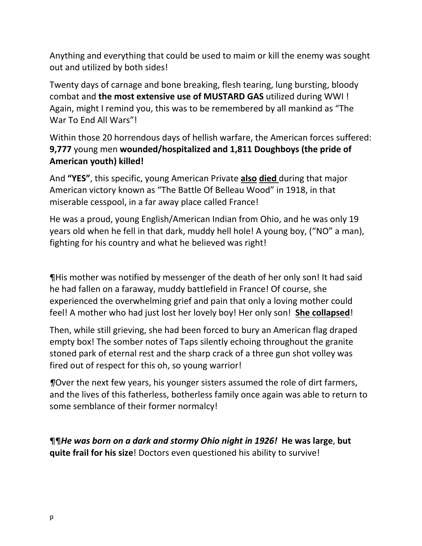Anything and everything that could be used to maim or kill the enemy was sought out and utilized by both sides!

Twenty days of carnage and bone breaking, flesh tearing, lung bursting, bloody combat and **the most extensive use of MUSTARD GAS** utilized during WWI ! Again, might I remind you, this was to be remembered by all mankind as "The War To End All Wars"!

Within those 20 horrendous days of hellish warfare, the American forces suffered: **9,777** young men **wounded/hospitalized and 1,811 Doughboys (the pride of American youth) killed!**

And **"YES"**, this specific, young American Private **also died** during that major American victory known as "The Battle Of Belleau Wood" in 1918, in that miserable cesspool, in a far away place called France!

He was a proud, young English/American Indian from Ohio, and he was only 19 years old when he fell in that dark, muddy hell hole! A young boy, ("NO" a man), fighting for his country and what he believed was right!

¶His mother was notified by messenger of the death of her only son! It had said he had fallen on a faraway, muddy battlefield in France! Of course, she experienced the overwhelming grief and pain that only a loving mother could feel! A mother who had just lost her lovely boy! Her only son! **She collapsed**!

Then, while still grieving, she had been forced to bury an American flag draped empty box! The somber notes of Taps silently echoing throughout the granite stoned park of eternal rest and the sharp crack of a three gun shot volley was fired out of respect for this oh, so young warrior!

*¶*Over the next few years, his younger sisters assumed the role of dirt farmers, and the lives of this fatherless, botherless family once again was able to return to some semblance of their former normalcy!

¶¶*He was born on a dark and stormy Ohio night in 1926!* **He was large**, **but quite frail for his size**! Doctors even questioned his ability to survive!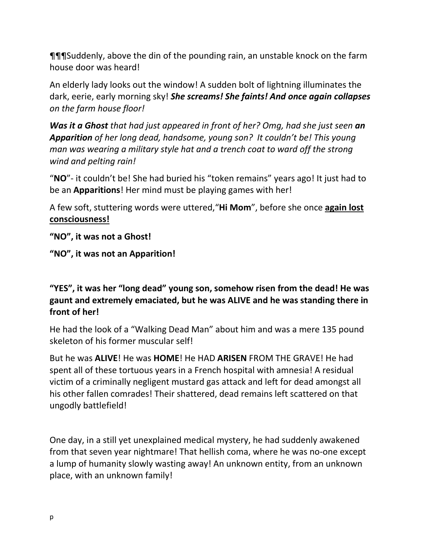¶¶¶Suddenly, above the din of the pounding rain, an unstable knock on the farm house door was heard!

An elderly lady looks out the window! A sudden bolt of lightning illuminates the dark, eerie, early morning sky! *She screams! She faints! And once again collapses on the farm house floor!*

*Was it a Ghost that had just appeared in front of her? Omg, had she just seen an Apparition of her long dead, handsome, young son? It couldn't be! This young man was wearing a military style hat and a trench coat to ward off the strong wind and pelting rain!*

"**NO**"- it couldn't be! She had buried his "token remains" years ago! It just had to be an **Apparitions**! Her mind must be playing games with her!

A few soft, stuttering words were uttered,"**Hi Mom**", before she once **again lost consciousness!**

**"NO", it was not a Ghost!**

**"NO", it was not an Apparition!**

## **"YES", it was her "long dead" young son, somehow risen from the dead! He was gaunt and extremely emaciated, but he was ALIVE and he was standing there in front of her!**

He had the look of a "Walking Dead Man" about him and was a mere 135 pound skeleton of his former muscular self!

But he was **ALIVE**! He was **HOME**! He HAD **ARISEN** FROM THE GRAVE! He had spent all of these tortuous years in a French hospital with amnesia! A residual victim of a criminally negligent mustard gas attack and left for dead amongst all his other fallen comrades! Their shattered, dead remains left scattered on that ungodly battlefield!

One day, in a still yet unexplained medical mystery, he had suddenly awakened from that seven year nightmare! That hellish coma, where he was no-one except a lump of humanity slowly wasting away! An unknown entity, from an unknown place, with an unknown family!